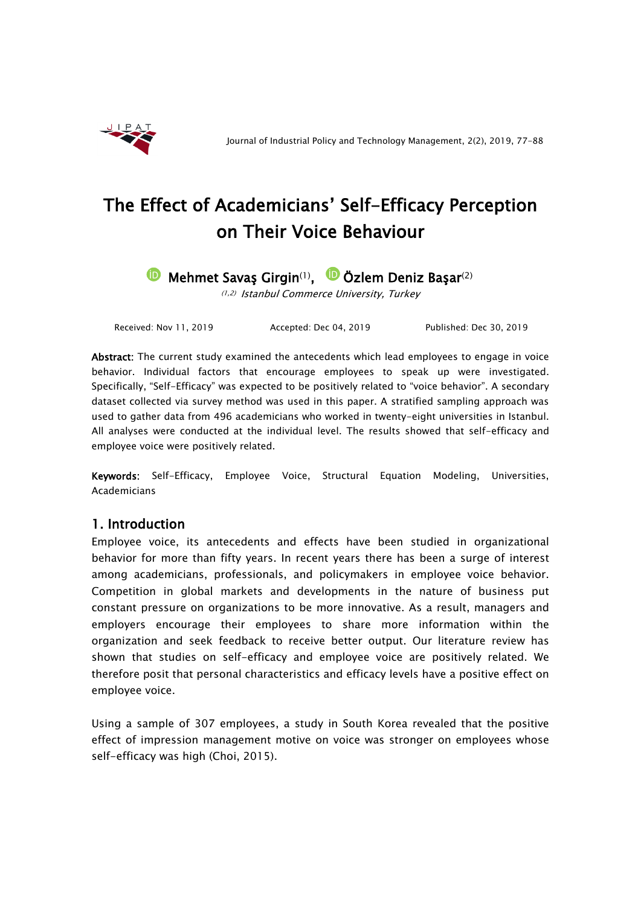

# The Effect of Academicians' Self-Efficacy Perception on Their Voice Behaviour

**D** Mehmet Savaş Girgin<sup>(1)</sup>, **D** Özlem Deniz Başar<sup>(2)</sup>

(1,2) Istanbul Commerce University, Turkey

Received: Nov 11, 2019 Accepted: Dec 04, 2019 Published: Dec 30, 2019

Abstract: The current study examined the antecedents which lead employees to engage in voice behavior. Individual factors that encourage employees to speak up were investigated. Specifically, "Self-Efficacy" was expected to be positively related to "voice behavior". A secondary dataset collected via survey method was used in this paper. A stratified sampling approach was used to gather data from 496 academicians who worked in twenty-eight universities in Istanbul. All analyses were conducted at the individual level. The results showed that self-efficacy and employee voice were positively related.

Keywords: Self-Efficacy, Employee Voice, Structural Equation Modeling, Universities, Academicians

# 1. Introduction

Employee voice, its antecedents and effects have been studied in organizational behavior for more than fifty years. In recent years there has been a surge of interest among academicians, professionals, and policymakers in employee voice behavior. Competition in global markets and developments in the nature of business put constant pressure on organizations to be more innovative. As a result, managers and employers encourage their employees to share more information within the organization and seek feedback to receive better output. Our literature review has shown that studies on self-efficacy and employee voice are positively related. We therefore posit that personal characteristics and efficacy levels have a positive effect on employee voice.

Using a sample of 307 employees, a study in South Korea revealed that the positive effect of impression management motive on voice was stronger on employees whose self-efficacy was high (Choi, 2015).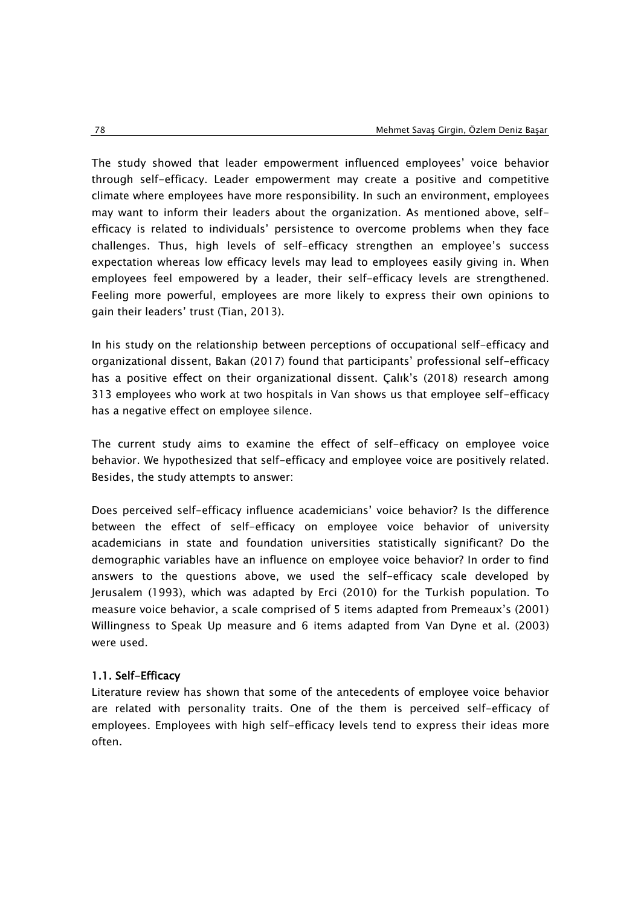The study showed that leader empowerment influenced employees' voice behavior through self-efficacy. Leader empowerment may create a positive and competitive climate where employees have more responsibility. In such an environment, employees may want to inform their leaders about the organization. As mentioned above, selfefficacy is related to individuals' persistence to overcome problems when they face challenges. Thus, high levels of self-efficacy strengthen an employee's success expectation whereas low efficacy levels may lead to employees easily giving in. When employees feel empowered by a leader, their self-efficacy levels are strengthened. Feeling more powerful, employees are more likely to express their own opinions to gain their leaders' trust (Tian, 2013).

In his study on the relationship between perceptions of occupational self-efficacy and organizational dissent, Bakan (2017) found that participants' professional self-efficacy has a positive effect on their organizational dissent. Çalık's (2018) research among 313 employees who work at two hospitals in Van shows us that employee self-efficacy has a negative effect on employee silence.

The current study aims to examine the effect of self-efficacy on employee voice behavior. We hypothesized that self-efficacy and employee voice are positively related. Besides, the study attempts to answer:

Does perceived self-efficacy influence academicians' voice behavior? Is the difference between the effect of self-efficacy on employee voice behavior of university academicians in state and foundation universities statistically significant? Do the demographic variables have an influence on employee voice behavior? In order to find answers to the questions above, we used the self-efficacy scale developed by Jerusalem (1993), which was adapted by Erci (2010) for the Turkish population. To measure voice behavior, a scale comprised of 5 items adapted from Premeaux's (2001) Willingness to Speak Up measure and 6 items adapted from Van Dyne et al. (2003) were used.

# 1.1. Self-Efficacy

Literature review has shown that some of the antecedents of employee voice behavior are related with personality traits. One of the them is perceived self-efficacy of employees. Employees with high self-efficacy levels tend to express their ideas more often.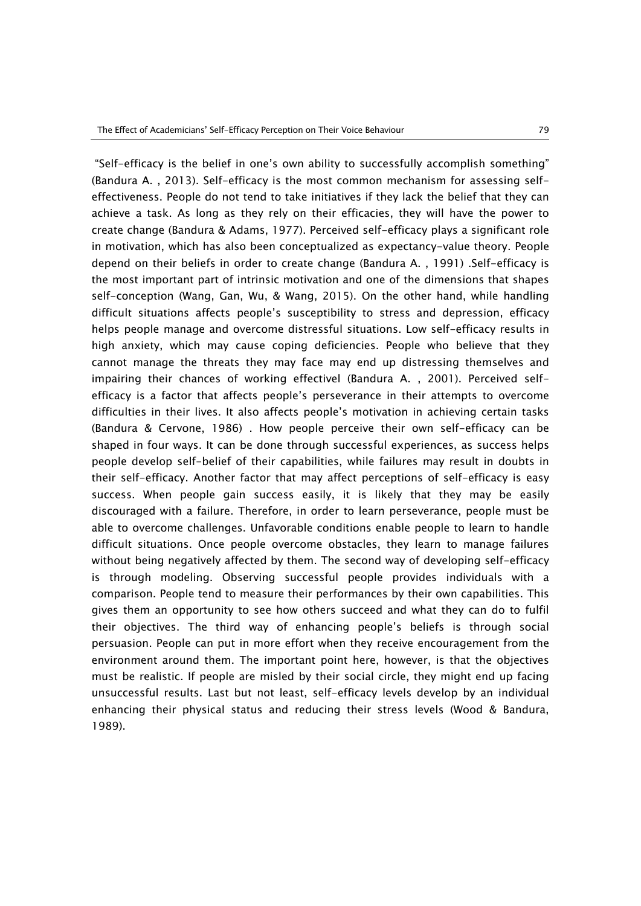"Self-efficacy is the belief in one's own ability to successfully accomplish something" (Bandura A. , 2013). Self-efficacy is the most common mechanism for assessing selfeffectiveness. People do not tend to take initiatives if they lack the belief that they can achieve a task. As long as they rely on their efficacies, they will have the power to create change (Bandura & Adams, 1977). Perceived self-efficacy plays a significant role in motivation, which has also been conceptualized as expectancy-value theory. People depend on their beliefs in order to create change (Bandura A. , 1991) .Self-efficacy is the most important part of intrinsic motivation and one of the dimensions that shapes self-conception (Wang, Gan, Wu, & Wang, 2015). On the other hand, while handling difficult situations affects people's susceptibility to stress and depression, efficacy helps people manage and overcome distressful situations. Low self-efficacy results in high anxiety, which may cause coping deficiencies. People who believe that they cannot manage the threats they may face may end up distressing themselves and impairing their chances of working effectivel (Bandura A. , 2001). Perceived selfefficacy is a factor that affects people's perseverance in their attempts to overcome difficulties in their lives. It also affects people's motivation in achieving certain tasks (Bandura & Cervone, 1986) . How people perceive their own self-efficacy can be shaped in four ways. It can be done through successful experiences, as success helps people develop self-belief of their capabilities, while failures may result in doubts in their self-efficacy. Another factor that may affect perceptions of self-efficacy is easy success. When people gain success easily, it is likely that they may be easily discouraged with a failure. Therefore, in order to learn perseverance, people must be able to overcome challenges. Unfavorable conditions enable people to learn to handle difficult situations. Once people overcome obstacles, they learn to manage failures without being negatively affected by them. The second way of developing self-efficacy is through modeling. Observing successful people provides individuals with a comparison. People tend to measure their performances by their own capabilities. This gives them an opportunity to see how others succeed and what they can do to fulfil their objectives. The third way of enhancing people's beliefs is through social persuasion. People can put in more effort when they receive encouragement from the environment around them. The important point here, however, is that the objectives must be realistic. If people are misled by their social circle, they might end up facing unsuccessful results. Last but not least, self-efficacy levels develop by an individual enhancing their physical status and reducing their stress levels (Wood & Bandura, 1989).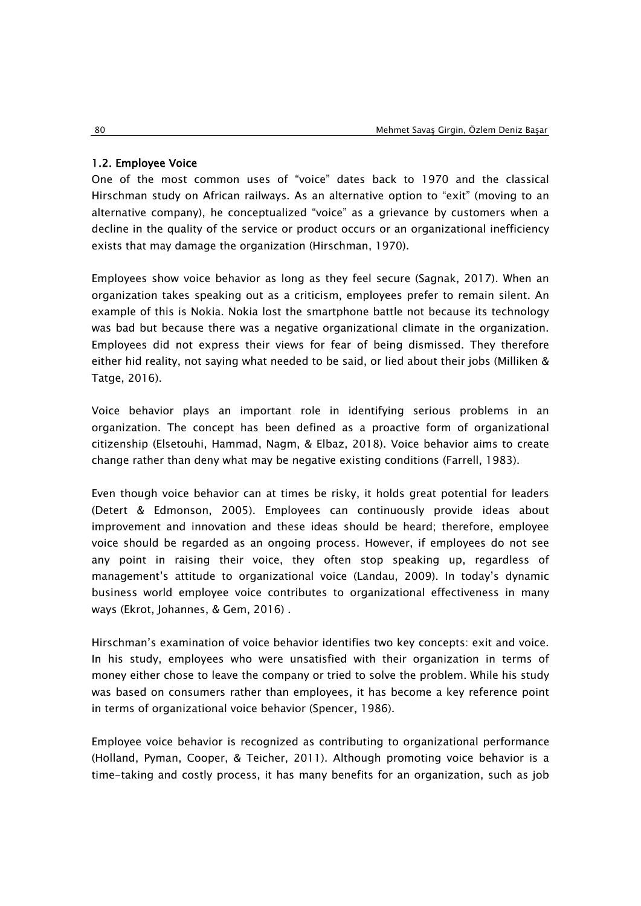#### 1.2. Employee Voice

One of the most common uses of "voice" dates back to 1970 and the classical Hirschman study on African railways. As an alternative option to "exit" (moving to an alternative company), he conceptualized "voice" as a grievance by customers when a decline in the quality of the service or product occurs or an organizational inefficiency exists that may damage the organization (Hirschman, 1970).

Employees show voice behavior as long as they feel secure (Sagnak, 2017). When an organization takes speaking out as a criticism, employees prefer to remain silent. An example of this is Nokia. Nokia lost the smartphone battle not because its technology was bad but because there was a negative organizational climate in the organization. Employees did not express their views for fear of being dismissed. They therefore either hid reality, not saying what needed to be said, or lied about their jobs (Milliken & Tatge, 2016).

Voice behavior plays an important role in identifying serious problems in an organization. The concept has been defined as a proactive form of organizational citizenship (Elsetouhi, Hammad, Nagm, & Elbaz, 2018). Voice behavior aims to create change rather than deny what may be negative existing conditions (Farrell, 1983).

Even though voice behavior can at times be risky, it holds great potential for leaders (Detert & Edmonson, 2005). Employees can continuously provide ideas about improvement and innovation and these ideas should be heard; therefore, employee voice should be regarded as an ongoing process. However, if employees do not see any point in raising their voice, they often stop speaking up, regardless of management's attitude to organizational voice (Landau, 2009). In today's dynamic business world employee voice contributes to organizational effectiveness in many ways (Ekrot, Johannes, & Gem, 2016) .

Hirschman's examination of voice behavior identifies two key concepts: exit and voice. In his study, employees who were unsatisfied with their organization in terms of money either chose to leave the company or tried to solve the problem. While his study was based on consumers rather than employees, it has become a key reference point in terms of organizational voice behavior (Spencer, 1986).

Employee voice behavior is recognized as contributing to organizational performance (Holland, Pyman, Cooper, & Teicher, 2011). Although promoting voice behavior is a time-taking and costly process, it has many benefits for an organization, such as job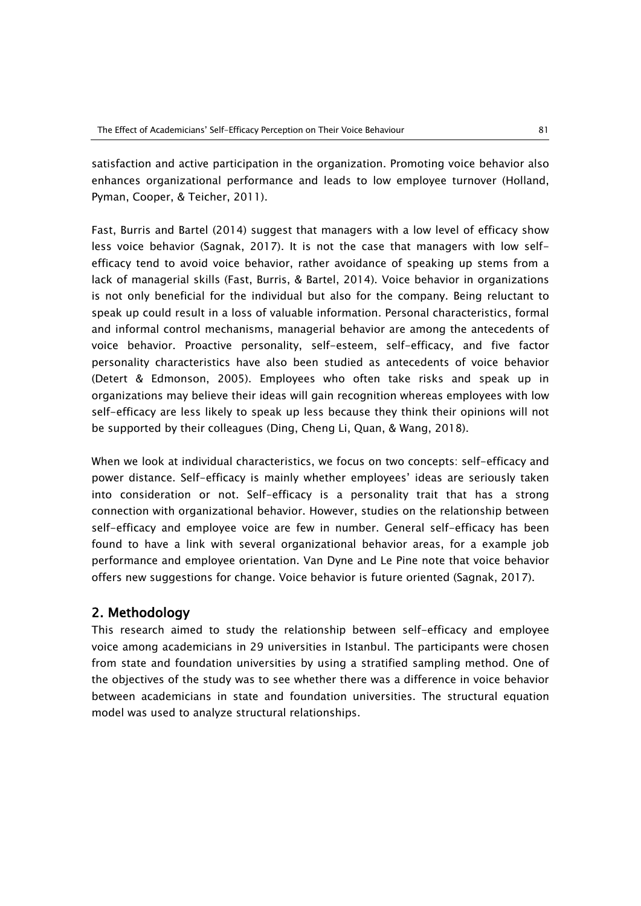satisfaction and active participation in the organization. Promoting voice behavior also enhances organizational performance and leads to low employee turnover (Holland, Pyman, Cooper, & Teicher, 2011).

Fast, Burris and Bartel (2014) suggest that managers with a low level of efficacy show less voice behavior (Sagnak, 2017). It is not the case that managers with low selfefficacy tend to avoid voice behavior, rather avoidance of speaking up stems from a lack of managerial skills (Fast, Burris, & Bartel, 2014). Voice behavior in organizations is not only beneficial for the individual but also for the company. Being reluctant to speak up could result in a loss of valuable information. Personal characteristics, formal and informal control mechanisms, managerial behavior are among the antecedents of voice behavior. Proactive personality, self-esteem, self-efficacy, and five factor personality characteristics have also been studied as antecedents of voice behavior (Detert & Edmonson, 2005). Employees who often take risks and speak up in organizations may believe their ideas will gain recognition whereas employees with low self-efficacy are less likely to speak up less because they think their opinions will not be supported by their colleagues (Ding, Cheng Li, Quan, & Wang, 2018).

When we look at individual characteristics, we focus on two concepts: self-efficacy and power distance. Self-efficacy is mainly whether employees' ideas are seriously taken into consideration or not. Self-efficacy is a personality trait that has a strong connection with organizational behavior. However, studies on the relationship between self-efficacy and employee voice are few in number. General self-efficacy has been found to have a link with several organizational behavior areas, for a example job performance and employee orientation. Van Dyne and Le Pine note that voice behavior offers new suggestions for change. Voice behavior is future oriented (Sagnak, 2017).

# 2. Methodology

This research aimed to study the relationship between self-efficacy and employee voice among academicians in 29 universities in Istanbul. The participants were chosen from state and foundation universities by using a stratified sampling method. One of the objectives of the study was to see whether there was a difference in voice behavior between academicians in state and foundation universities. The structural equation model was used to analyze structural relationships.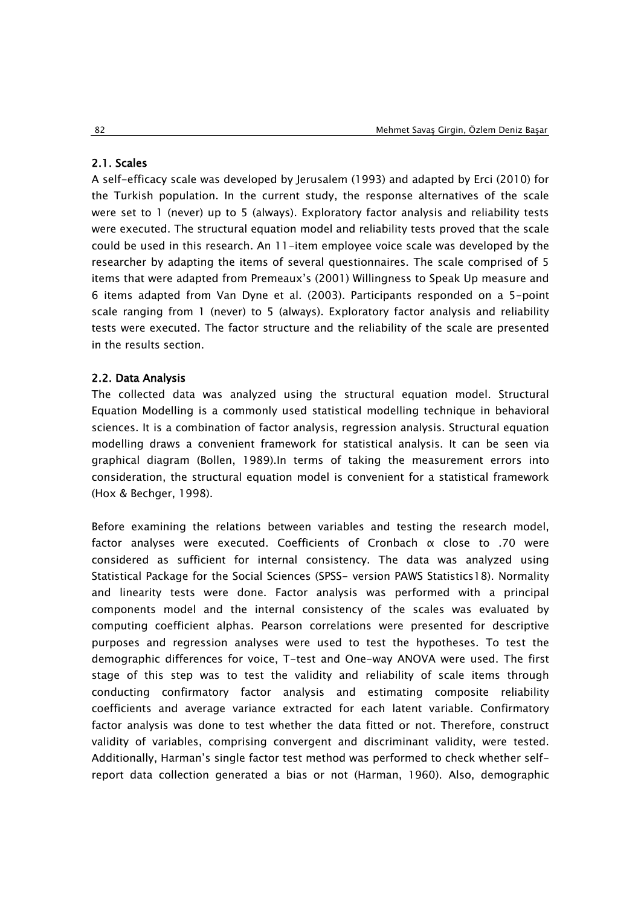#### 2.1. Scales

A self-efficacy scale was developed by Jerusalem (1993) and adapted by Erci (2010) for the Turkish population. In the current study, the response alternatives of the scale were set to 1 (never) up to 5 (always). Exploratory factor analysis and reliability tests were executed. The structural equation model and reliability tests proved that the scale could be used in this research. An 11-item employee voice scale was developed by the researcher by adapting the items of several questionnaires. The scale comprised of 5 items that were adapted from Premeaux's (2001) Willingness to Speak Up measure and 6 items adapted from Van Dyne et al. (2003). Participants responded on a 5-point scale ranging from 1 (never) to 5 (always). Exploratory factor analysis and reliability tests were executed. The factor structure and the reliability of the scale are presented in the results section.

#### 2.2. Data Analysis

The collected data was analyzed using the structural equation model. Structural Equation Modelling is a commonly used statistical modelling technique in behavioral sciences. It is a combination of factor analysis, regression analysis. Structural equation modelling draws a convenient framework for statistical analysis. It can be seen via graphical diagram (Bollen, 1989).In terms of taking the measurement errors into consideration, the structural equation model is convenient for a statistical framework (Hox & Bechger, 1998).

Before examining the relations between variables and testing the research model, factor analyses were executed. Coefficients of Cronbach α close to .70 were considered as sufficient for internal consistency. The data was analyzed using Statistical Package for the Social Sciences (SPSS- version PAWS Statistics18). Normality and linearity tests were done. Factor analysis was performed with a principal components model and the internal consistency of the scales was evaluated by computing coefficient alphas. Pearson correlations were presented for descriptive purposes and regression analyses were used to test the hypotheses. To test the demographic differences for voice, T-test and One-way ANOVA were used. The first stage of this step was to test the validity and reliability of scale items through conducting confirmatory factor analysis and estimating composite reliability coefficients and average variance extracted for each latent variable. Confirmatory factor analysis was done to test whether the data fitted or not. Therefore, construct validity of variables, comprising convergent and discriminant validity, were tested. Additionally, Harman's single factor test method was performed to check whether selfreport data collection generated a bias or not (Harman, 1960). Also, demographic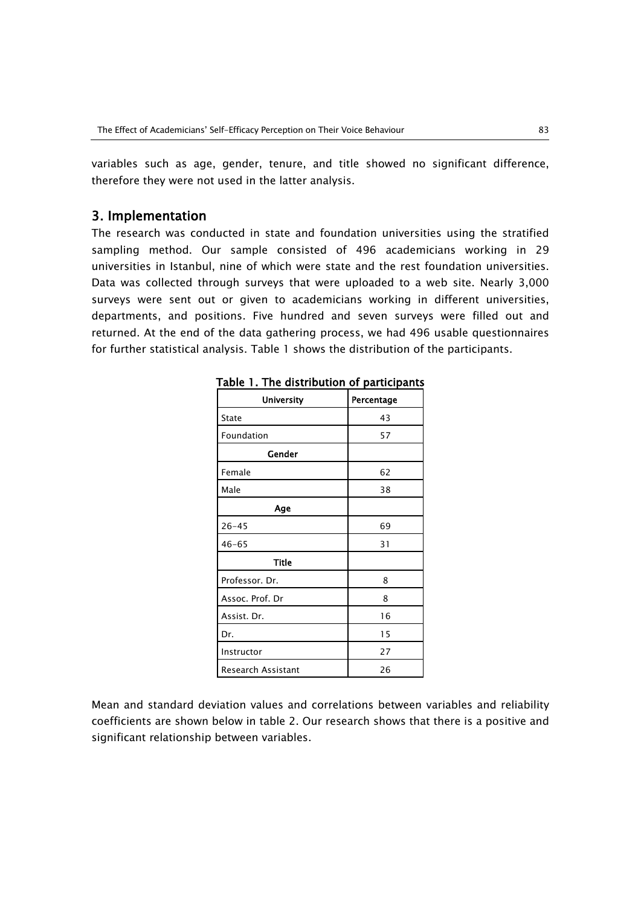variables such as age, gender, tenure, and title showed no significant difference, therefore they were not used in the latter analysis.

## 3. Implementation

The research was conducted in state and foundation universities using the stratified sampling method. Our sample consisted of 496 academicians working in 29 universities in Istanbul, nine of which were state and the rest foundation universities. Data was collected through surveys that were uploaded to a web site. Nearly 3,000 surveys were sent out or given to academicians working in different universities, departments, and positions. Five hundred and seven surveys were filled out and returned. At the end of the data gathering process, we had 496 usable questionnaires for further statistical analysis. Table 1 shows the distribution of the participants.

| <b>University</b>  | Percentage |
|--------------------|------------|
| State              | 43         |
| Foundation         | 57         |
| Gender             |            |
| Female             | 62         |
| Male               | 38         |
| Age                |            |
| $26 - 45$          | 69         |
| $46 - 65$          | 31         |
| <b>Title</b>       |            |
| Professor. Dr.     | 8          |
| Assoc. Prof. Dr    | 8          |
| Assist. Dr.        | 16         |
| Dr.                | 15         |
| Instructor         | 27         |
| Research Assistant | 26         |

Table 1. The distribution of participants

Mean and standard deviation values and correlations between variables and reliability coefficients are shown below in table 2. Our research shows that there is a positive and significant relationship between variables.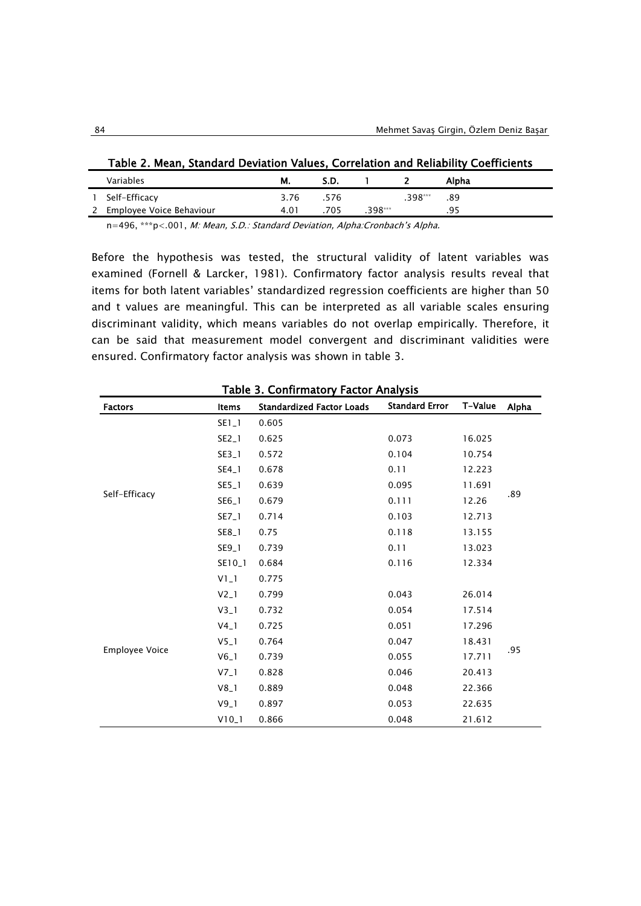| Table 2. Mean, Standard Deviation Values, Correlation and Reliability Coefficients |      |      |           |         |       |  |  |  |
|------------------------------------------------------------------------------------|------|------|-----------|---------|-------|--|--|--|
| Variables                                                                          | M.   | S.D. |           |         | Alpha |  |  |  |
| 1 Self-Efficacy                                                                    | 3.76 | .576 |           | .398*** | .89   |  |  |  |
| 2 Employee Voice Behaviour                                                         | 4.01 | 705  | $.398***$ |         | .95   |  |  |  |

n=496, \*\*\*p<.001, M: Mean, S.D.: Standard Deviation, Alpha:Cronbach's Alpha.

Before the hypothesis was tested, the structural validity of latent variables was examined (Fornell & Larcker, 1981). Confirmatory factor analysis results reveal that items for both latent variables' standardized regression coefficients are higher than 50 and t values are meaningful. This can be interpreted as all variable scales ensuring discriminant validity, which means variables do not overlap empirically. Therefore, it can be said that measurement model convergent and discriminant validities were ensured. Confirmatory factor analysis was shown in table 3.

| Table 3. Confirmatory Factor Analysis |         |                                  |                       |         |       |  |  |  |  |
|---------------------------------------|---------|----------------------------------|-----------------------|---------|-------|--|--|--|--|
| <b>Factors</b>                        | Items   | <b>Standardized Factor Loads</b> | <b>Standard Error</b> | T-Value | Alpha |  |  |  |  |
|                                       | SE1_1   | 0.605                            |                       |         |       |  |  |  |  |
|                                       | SE2_1   | 0.625                            | 0.073                 | 16.025  |       |  |  |  |  |
|                                       | SE3_1   | 0.572                            | 0.104                 | 10.754  |       |  |  |  |  |
|                                       | SE4_1   | 0.678                            | 0.11                  | 12.223  |       |  |  |  |  |
|                                       | SE5_1   | 0.639                            | 0.095                 | 11.691  |       |  |  |  |  |
| Self-Efficacy                         | SE6_1   | 0.679                            | 0.111                 | 12.26   | .89   |  |  |  |  |
|                                       | SE7_1   | 0.714                            | 0.103                 | 12.713  |       |  |  |  |  |
|                                       | SE8_1   | 0.75                             | 0.118                 | 13.155  |       |  |  |  |  |
|                                       | SE9_1   | 0.739                            | 0.11                  | 13.023  |       |  |  |  |  |
|                                       | SE10_1  | 0.684                            | 0.116                 | 12.334  |       |  |  |  |  |
|                                       | $VI_1$  | 0.775                            |                       |         |       |  |  |  |  |
|                                       | $V2_l$  | 0.799                            | 0.043                 | 26.014  |       |  |  |  |  |
|                                       | $V3_1$  | 0.732                            | 0.054                 | 17.514  |       |  |  |  |  |
|                                       | $V4_1$  | 0.725                            | 0.051                 | 17.296  |       |  |  |  |  |
|                                       | $V5_l$  | 0.764                            | 0.047                 | 18.431  |       |  |  |  |  |
| <b>Employee Voice</b>                 | $V6_l$  | 0.739                            | 0.055                 | 17.711  | .95   |  |  |  |  |
|                                       | $V7_1$  | 0.828                            | 0.046                 | 20.413  |       |  |  |  |  |
|                                       | $V8_1$  | 0.889                            | 0.048                 | 22.366  |       |  |  |  |  |
|                                       | $V9_1$  | 0.897                            | 0.053                 | 22.635  |       |  |  |  |  |
|                                       | $V10_1$ | 0.866                            | 0.048                 | 21.612  |       |  |  |  |  |

Table 3. Confirmatory Factor Analysis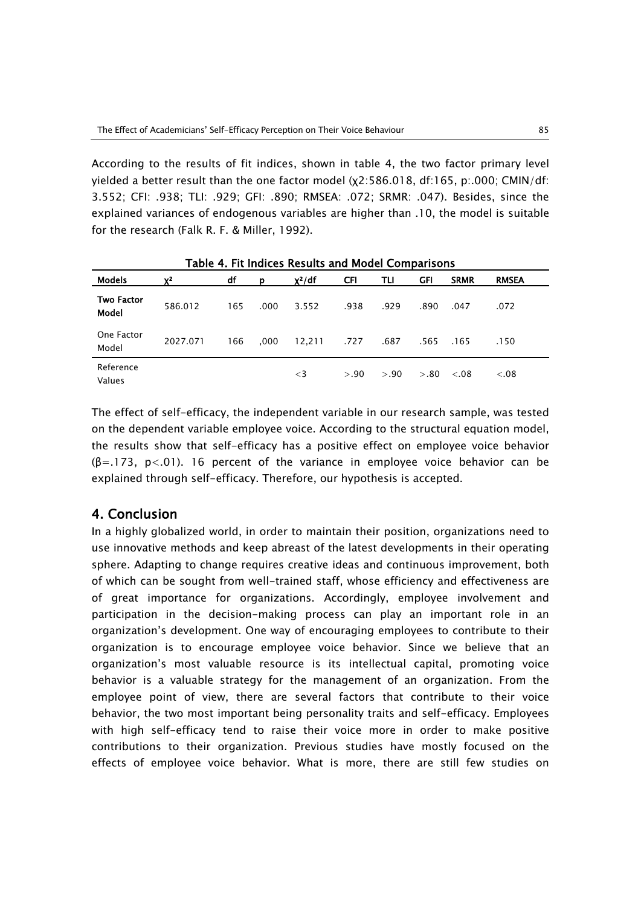According to the results of fit indices, shown in table 4, the two factor primary level yielded a better result than the one factor model (χ2:586.018, df:165, p:.000; CMIN/df: 3.552; CFI: .938; TLI: .929; GFI: .890; RMSEA: .072; SRMR: .047). Besides, since the explained variances of endogenous variables are higher than .10, the model is suitable for the research (Falk R. F. & Miller, 1992).

| <b>Models</b>              | $X^2$    | df  | D    | $\chi^2/df$ | <b>CFI</b> | TLI   | GFI    | <b>SRMR</b> | <b>RMSEA</b> |  |
|----------------------------|----------|-----|------|-------------|------------|-------|--------|-------------|--------------|--|
| <b>Two Factor</b><br>Model | 586.012  | 165 | .000 | 3.552       | .938       | .929  | .890   | .047        | .072         |  |
| One Factor<br>Model        | 2027.071 | 166 | .000 | 12,211      | .727       | .687  | .565   | .165        | .150         |  |
| Reference<br>Values        |          |     |      | $\leq$ 3    | > 0.90     | > .90 | > 0.80 | < 0.08      | < 0.08       |  |

Table 4. Fit Indices Results and Model Comparisons

The effect of self-efficacy, the independent variable in our research sample, was tested on the dependent variable employee voice. According to the structural equation model, the results show that self-efficacy has a positive effect on employee voice behavior  $(\beta = .173, p < .01)$ . 16 percent of the variance in employee voice behavior can be explained through self-efficacy. Therefore, our hypothesis is accepted.

# 4. Conclusion

In a highly globalized world, in order to maintain their position, organizations need to use innovative methods and keep abreast of the latest developments in their operating sphere. Adapting to change requires creative ideas and continuous improvement, both of which can be sought from well-trained staff, whose efficiency and effectiveness are of great importance for organizations. Accordingly, employee involvement and participation in the decision-making process can play an important role in an organization's development. One way of encouraging employees to contribute to their organization is to encourage employee voice behavior. Since we believe that an organization's most valuable resource is its intellectual capital, promoting voice behavior is a valuable strategy for the management of an organization. From the employee point of view, there are several factors that contribute to their voice behavior, the two most important being personality traits and self-efficacy. Employees with high self-efficacy tend to raise their voice more in order to make positive contributions to their organization. Previous studies have mostly focused on the effects of employee voice behavior. What is more, there are still few studies on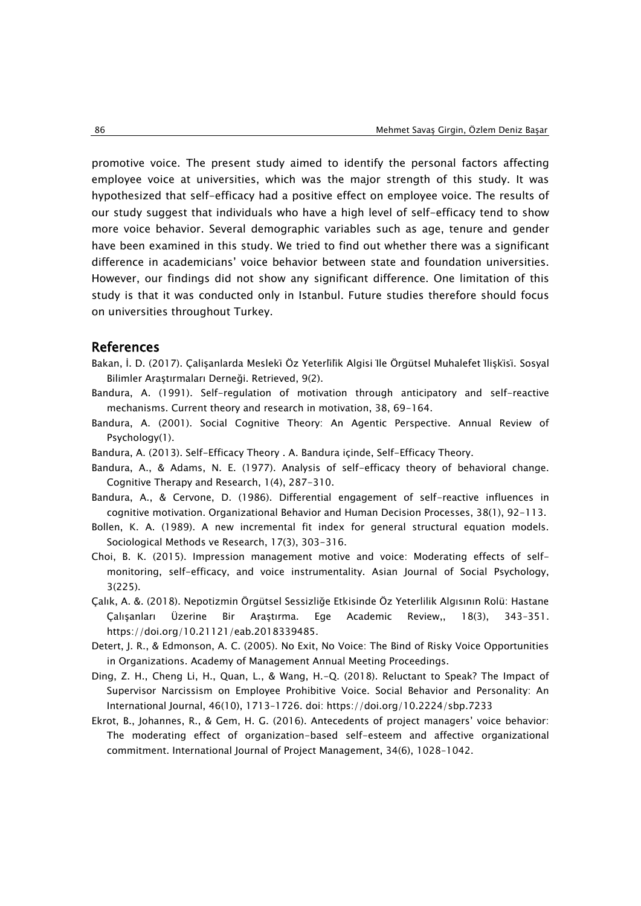promotive voice. The present study aimed to identify the personal factors affecting employee voice at universities, which was the major strength of this study. It was hypothesized that self-efficacy had a positive effect on employee voice. The results of our study suggest that individuals who have a high level of self-efficacy tend to show more voice behavior. Several demographic variables such as age, tenure and gender have been examined in this study. We tried to find out whether there was a significant difference in academicians' voice behavior between state and foundation universities. However, our findings did not show any significant difference. One limitation of this study is that it was conducted only in Istanbul. Future studies therefore should focus on universities throughout Turkey.

## References

- Bakan, İ. D. (2017). Çalişanlarda Mesleki̇ Öz Yeterli̇li̇k Algisi İle Örgütsel Muhalefet İlişki̇si̇. Sosyal Bilimler Araştırmaları Derneği. Retrieved, 9(2).
- Bandura, A. (1991). Self-regulation of motivation through anticipatory and self-reactive mechanisms. Current theory and research in motivation, 38, 69-164.
- Bandura, A. (2001). Social Cognitive Theory: An Agentic Perspective. Annual Review of Psychology(1).
- Bandura, A. (2013). Self-Efficacy Theory . A. Bandura içinde, Self-Efficacy Theory.
- Bandura, A., & Adams, N. E. (1977). Analysis of self-efficacy theory of behavioral change. Cognitive Therapy and Research, 1(4), 287-310.
- Bandura, A., & Cervone, D. (1986). Differential engagement of self-reactive influences in cognitive motivation. Organizational Behavior and Human Decision Processes, 38(1), 92-113.
- Bollen, K. A. (1989). A new incremental fit index for general structural equation models. Sociological Methods ve Research, 17(3), 303-316.
- Choi, B. K. (2015). Impression management motive and voice: Moderating effects of selfmonitoring, self-efficacy, and voice instrumentality. Asian Journal of Social Psychology, 3(225).
- Çalık, A. &. (2018). Nepotizmin Örgütsel Sessizliğe Etkisinde Öz Yeterlilik Algısının Rolü: Hastane Çalışanları Üzerine Bir Araştırma. Ege Academic Review,, 18(3), 343–351. https://doi.org/10.21121/eab.2018339485.
- Detert, J. R., & Edmonson, A. C. (2005). No Exit, No Voice: The Bind of Risky Voice Opportunities in Organizations. Academy of Management Annual Meeting Proceedings.
- Ding, Z. H., Cheng Li, H., Quan, L., & Wang, H.-Q. (2018). Reluctant to Speak? The Impact of Supervisor Narcissism on Employee Prohibitive Voice. Social Behavior and Personality: An International Journal, 46(10), 1713–1726. doi: https://doi.org/10.2224/sbp.7233
- Ekrot, B., Johannes, R., & Gem, H. G. (2016). Antecedents of project managers' voice behavior: The moderating effect of organization-based self-esteem and affective organizational commitment. International Journal of Project Management, 34(6), 1028–1042.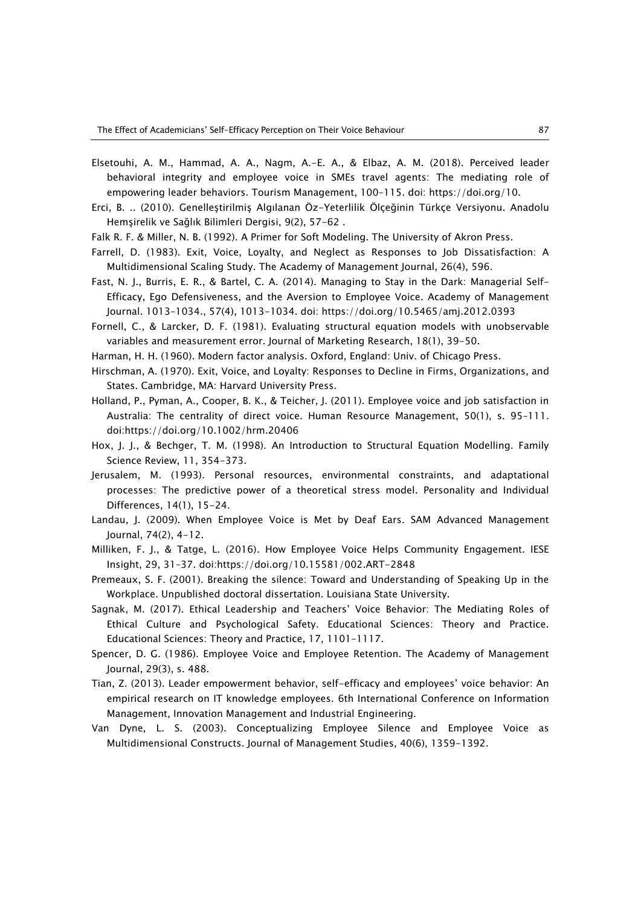- Elsetouhi, A. M., Hammad, A. A., Nagm, A.-E. A., & Elbaz, A. M. (2018). Perceived leader behavioral integrity and employee voice in SMEs travel agents: The mediating role of empowering leader behaviors. Tourism Management, 100–115. doi: https://doi.org/10.
- Erci, B. .. (2010). Genelleştirilmiş Algılanan Öz-Yeterlilik Ölçeğinin Türkçe Versiyonu. Anadolu Hemşirelik ve Sağlık Bilimleri Dergisi, 9(2), 57-62 .
- Falk R. F. & Miller, N. B. (1992). A Primer for Soft Modeling. The University of Akron Press.
- Farrell, D. (1983). Exit, Voice, Loyalty, and Neglect as Responses to Job Dissatisfaction: A Multidimensional Scaling Study. The Academy of Management Journal, 26(4), 596.
- Fast, N. J., Burris, E. R., & Bartel, C. A. (2014). Managing to Stay in the Dark: Managerial Self-Efficacy, Ego Defensiveness, and the Aversion to Employee Voice. Academy of Management Journal. 1013–1034., 57(4), 1013-1034. doi: https://doi.org/10.5465/amj.2012.0393
- Fornell, C., & Larcker, D. F. (1981). Evaluating structural equation models with unobservable variables and measurement error. Journal of Marketing Research, 18(1), 39-50.
- Harman, H. H. (1960). Modern factor analysis. Oxford, England: Univ. of Chicago Press.
- Hirschman, A. (1970). Exit, Voice, and Loyalty: Responses to Decline in Firms, Organizations, and States. Cambridge, MA: Harvard University Press.
- Holland, P., Pyman, A., Cooper, B. K., & Teicher, J. (2011). Employee voice and job satisfaction in Australia: The centrality of direct voice. Human Resource Management, 50(1), s. 95–111. doi:https://doi.org/10.1002/hrm.20406
- Hox, J. J., & Bechger, T. M. (1998). An Introduction to Structural Equation Modelling. Family Science Review, 11, 354-373.
- Jerusalem, M. (1993). Personal resources, environmental constraints, and adaptational processes: The predictive power of a theoretical stress model. Personality and Individual Differences, 14(1), 15-24.
- Landau, J. (2009). When Employee Voice is Met by Deaf Ears. SAM Advanced Management Journal, 74(2), 4-12.
- Milliken, F. J., & Tatge, L. (2016). How Employee Voice Helps Community Engagement. IESE Insight, 29, 31–37. doi:https://doi.org/10.15581/002.ART-2848
- Premeaux, S. F. (2001). Breaking the silence: Toward and Understanding of Speaking Up in the Workplace. Unpublished doctoral dissertation. Louisiana State University.
- Sagnak, M. (2017). Ethical Leadership and Teachers' Voice Behavior: The Mediating Roles of Ethical Culture and Psychological Safety. Educational Sciences: Theory and Practice. Educational Sciences: Theory and Practice, 17, 1101–1117.
- Spencer, D. G. (1986). Employee Voice and Employee Retention. The Academy of Management Journal, 29(3), s. 488.
- Tian, Z. (2013). Leader empowerment behavior, self-efficacy and employees' voice behavior: An empirical research on IT knowledge employees. 6th International Conference on Information Management, Innovation Management and Industrial Engineering.
- Van Dyne, L. S. (2003). Conceptualizing Employee Silence and Employee Voice as Multidimensional Constructs. Journal of Management Studies, 40(6), 1359-1392.